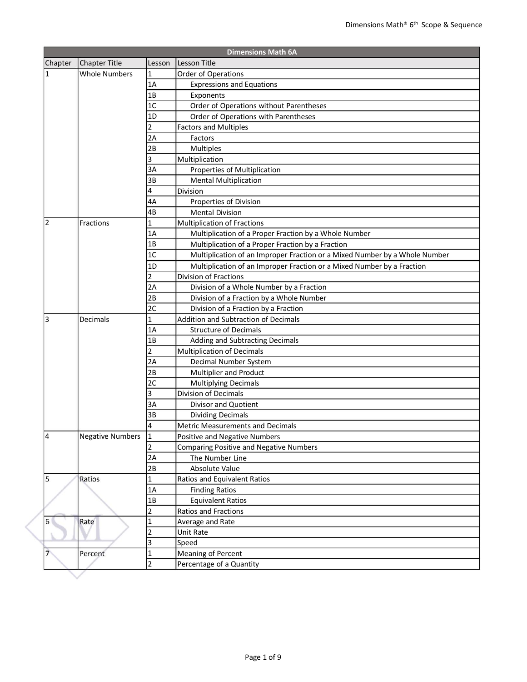|                                  |                         |                | <b>Dimensions Math 6A</b>                                                  |
|----------------------------------|-------------------------|----------------|----------------------------------------------------------------------------|
| Chapter                          | Chapter Title           | Lesson         | lLesson Title                                                              |
| 1                                | <b>Whole Numbers</b>    | 1              | <b>Order of Operations</b>                                                 |
|                                  |                         | 1A             | <b>Expressions and Equations</b>                                           |
|                                  |                         | 1B             | Exponents                                                                  |
|                                  |                         | 1 <sup>C</sup> | Order of Operations without Parentheses                                    |
|                                  |                         | 1D             | Order of Operations with Parentheses                                       |
|                                  |                         | 2              | <b>Factors and Multiples</b>                                               |
|                                  |                         | 2A             | Factors                                                                    |
|                                  |                         | 2B             | Multiples                                                                  |
|                                  |                         | 3              | Multiplication                                                             |
|                                  |                         | 3A             | Properties of Multiplication                                               |
|                                  |                         | 3B             | <b>Mental Multiplication</b>                                               |
|                                  |                         | 4              | Division                                                                   |
|                                  |                         | 4A             | Properties of Division                                                     |
|                                  |                         | 4B             | <b>Mental Division</b>                                                     |
| 2                                | Fractions               | 1              | <b>Multiplication of Fractions</b>                                         |
|                                  |                         | 1A             | Multiplication of a Proper Fraction by a Whole Number                      |
|                                  |                         | 1B             | Multiplication of a Proper Fraction by a Fraction                          |
|                                  |                         | 1C             | Multiplication of an Improper Fraction or a Mixed Number by a Whole Number |
|                                  |                         | 1 <sub>D</sub> | Multiplication of an Improper Fraction or a Mixed Number by a Fraction     |
|                                  |                         | $\overline{2}$ | Division of Fractions                                                      |
|                                  |                         | 2A             | Division of a Whole Number by a Fraction                                   |
|                                  |                         | 2B             | Division of a Fraction by a Whole Number                                   |
|                                  |                         | 2C             | Division of a Fraction by a Fraction                                       |
| 3                                | Decimals                | 1              | <b>Addition and Subtraction of Decimals</b>                                |
|                                  |                         | 1A             | <b>Structure of Decimals</b>                                               |
|                                  |                         | 1B             | Adding and Subtracting Decimals                                            |
|                                  |                         | 2              | <b>Multiplication of Decimals</b>                                          |
|                                  |                         | 2A             | Decimal Number System                                                      |
|                                  |                         | 2B             | Multiplier and Product                                                     |
|                                  |                         | 2C             | <b>Multiplying Decimals</b>                                                |
|                                  |                         | 3              | Division of Decimals                                                       |
|                                  |                         | 3A             | Divisor and Quotient                                                       |
|                                  |                         | 3B             | <b>Dividing Decimals</b>                                                   |
|                                  |                         | 4              | Metric Measurements and Decimals                                           |
| 4                                | <b>Negative Numbers</b> | 1              | Positive and Negative Numbers                                              |
|                                  |                         | $\overline{2}$ | <b>Comparing Positive and Negative Numbers</b>                             |
|                                  |                         | 2A             | The Number Line                                                            |
|                                  |                         | 2B             | Absolute Value                                                             |
| 5                                | Ratios                  | 1              | Ratios and Equivalent Ratios                                               |
|                                  |                         | 1A             | <b>Finding Ratios</b>                                                      |
|                                  |                         | 1B             | <b>Equivalent Ratios</b>                                                   |
|                                  |                         | $\overline{2}$ | Ratios and Fractions                                                       |
| 6 <sup>1</sup><br>$\overline{7}$ | Rate                    | 1              | Average and Rate                                                           |
|                                  |                         | 2              | Unit Rate                                                                  |
|                                  |                         | 3              | Speed                                                                      |
|                                  | Percent                 | 1              | <b>Meaning of Percent</b>                                                  |
|                                  |                         |                |                                                                            |